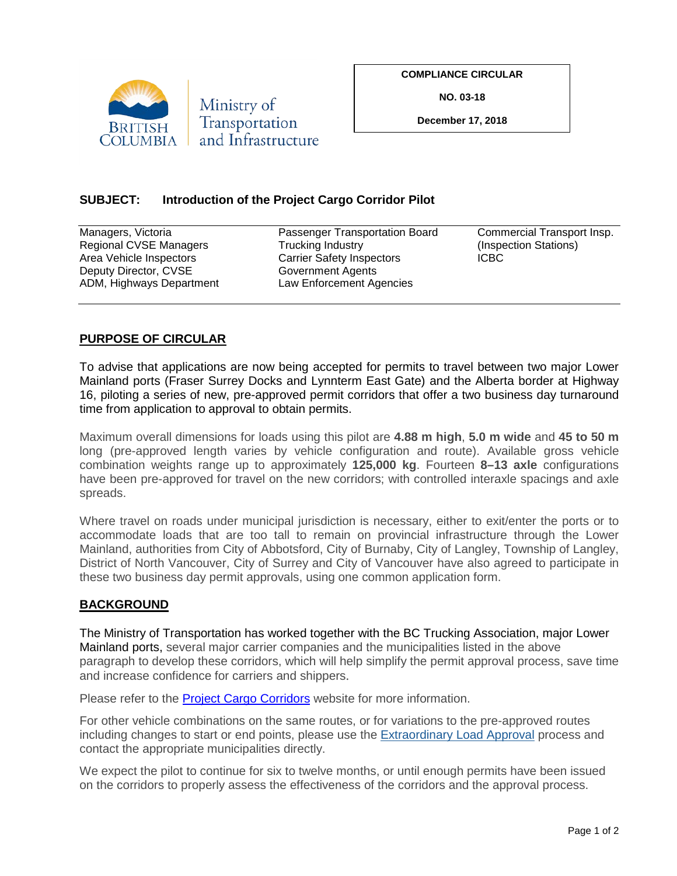

**COMPLIANCE CIRCULAR**

**NO. 03-18**

**December 17, 2018**

## **SUBJECT: Introduction of the Project Cargo Corridor Pilot**

| Managers, Victoria       | Passenger Transportation Board   | Commercial Transport Insp. |
|--------------------------|----------------------------------|----------------------------|
| Regional CVSE Managers   | Trucking Industry                | (Inspection Stations)      |
| Area Vehicle Inspectors  | <b>Carrier Safety Inspectors</b> | <b>ICBC</b>                |
| Deputy Director, CVSE    | Government Agents                |                            |
| ADM, Highways Department | Law Enforcement Agencies         |                            |
|                          |                                  |                            |

## **PURPOSE OF CIRCULAR**

To advise that applications are now being accepted for permits to travel between two major Lower Mainland ports (Fraser Surrey Docks and Lynnterm East Gate) and the Alberta border at Highway 16, piloting a series of new, pre-approved permit corridors that offer a two business day turnaround time from application to approval to obtain permits.

Maximum overall dimensions for loads using this pilot are **4.88 m high**, **5.0 m wide** and **45 to 50 m** long (pre-approved length varies by vehicle configuration and route). Available gross vehicle combination weights range up to approximately **125,000 kg**. Fourteen **8–13 axle** configurations have been pre-approved for travel on the new corridors; with controlled interaxle spacings and axle spreads.

Where travel on roads under municipal jurisdiction is necessary, either to exit/enter the ports or to accommodate loads that are too tall to remain on provincial infrastructure through the Lower Mainland, authorities from City of Abbotsford, City of Burnaby, City of Langley, Township of Langley, District of North Vancouver, City of Surrey and City of Vancouver have also agreed to participate in these two business day permit approvals, using one common application form.

## **BACKGROUND**

The Ministry of Transportation has worked together with the BC Trucking Association, major Lower Mainland ports, several major carrier companies and the municipalities listed in the above paragraph to develop these corridors, which will help simplify the permit approval process, save time and increase confidence for carriers and shippers.

Please refer to the **Project Cargo Corridors** website for more information.

For other vehicle combinations on the same routes, or for variations to the pre-approved routes including changes to start or end points, please use the [Extraordinary Load Approval](https://www2.gov.bc.ca/gov/content/transportation/vehicle-safety-enforcement/services/permitting/extraordinary-loads) process and contact the appropriate municipalities directly.

We expect the pilot to continue for six to twelve months, or until enough permits have been issued on the corridors to properly assess the effectiveness of the corridors and the approval process.